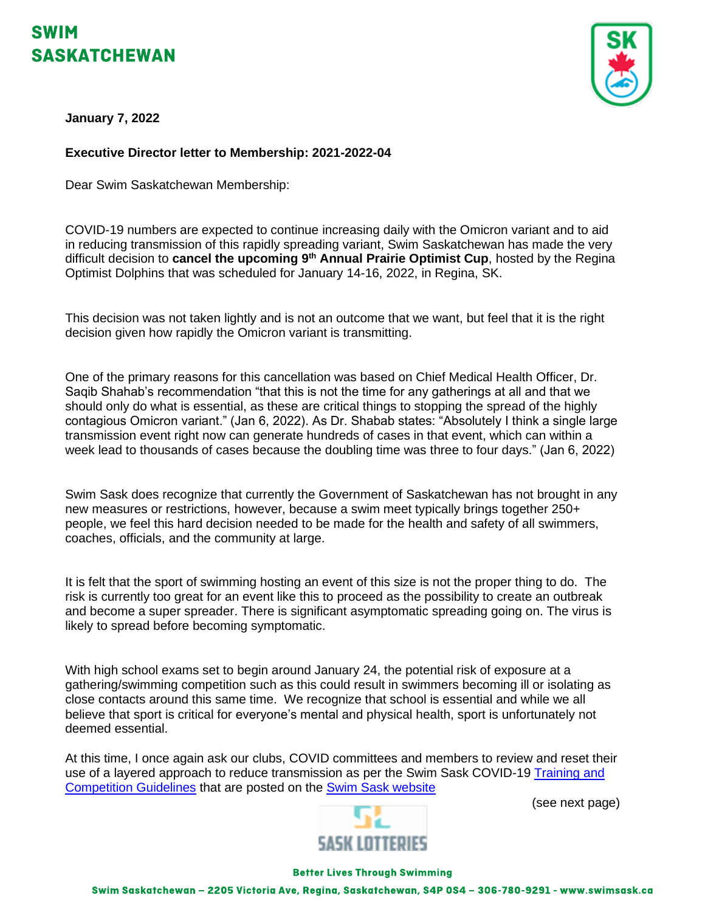# SWIM **SASKATCHEWAN**



**January 7, 2022**

### **Executive Director letter to Membership: 2021-2022-04**

Dear Swim Saskatchewan Membership:

COVID-19 numbers are expected to continue increasing daily with the Omicron variant and to aid in reducing transmission of this rapidly spreading variant, Swim Saskatchewan has made the very difficult decision to **cancel the upcoming 9th Annual Prairie Optimist Cup**, hosted by the Regina Optimist Dolphins that was scheduled for January 14-16, 2022, in Regina, SK.

This decision was not taken lightly and is not an outcome that we want, but feel that it is the right decision given how rapidly the Omicron variant is transmitting.

One of the primary reasons for this cancellation was based on Chief Medical Health Officer, Dr. Saqib Shahab's recommendation "that this is not the time for any gatherings at all and that we should only do what is essential, as these are critical things to stopping the spread of the highly contagious Omicron variant." (Jan 6, 2022). As Dr. Shabab states: "Absolutely I think a single large transmission event right now can generate hundreds of cases in that event, which can within a week lead to thousands of cases because the doubling time was three to four days." (Jan 6, 2022)

Swim Sask does recognize that currently the Government of Saskatchewan has not brought in any new measures or restrictions, however, because a swim meet typically brings together 250+ people, we feel this hard decision needed to be made for the health and safety of all swimmers, coaches, officials, and the community at large.

It is felt that the sport of swimming hosting an event of this size is not the proper thing to do. The risk is currently too great for an event like this to proceed as the possibility to create an outbreak and become a super spreader. There is significant asymptomatic spreading going on. The virus is likely to spread before becoming symptomatic.

With high school exams set to begin around January 24, the potential risk of exposure at a gathering/swimming competition such as this could result in swimmers becoming ill or isolating as close contacts around this same time. We recognize that school is essential and while we all believe that sport is critical for everyone's mental and physical health, sport is unfortunately not deemed essential.

At this time, I once again ask our clubs, COVID committees and members to review and reset their use of a layered approach to reduce transmission as per the Swim Sask COVID-19 Training and [Competition Guidelines](http://www.swimsask.ca/news/covid-19.html) that are posted on the [Swim Sask website](http://www.swimsask.ca/news/covid-19.html)





#### **Better Lives Through Swimming**

Swim Saskatchewan - 2205 Victoria Ave, Regina, Saskatchewan, S4P 0S4 - 306-780-9291 - www.swimsask.ca